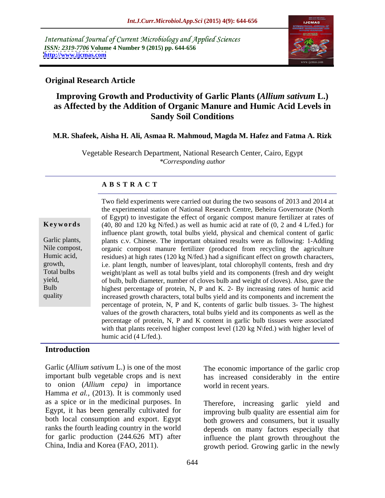International Journal of Current Microbiology and Applied Sciences *ISSN: 2319-7706* **Volume 4 Number 9 (2015) pp. 644-656 <http://www.ijcmas.com>**



## **Original Research Article**

## **Improving Growth and Productivity of Garlic Plants (***Allium sativum* **L.) as Affected by the Addition of Organic Manure and Humic Acid Levels in Sandy Soil Conditions**

## **M.R. Shafeek, Aisha H. Ali, Asmaa R. Mahmoud, Magda M. Hafez and Fatma A. Rizk**

Vegetable Research Department, National Research Center, Cairo, Egypt *\*Corresponding author*

## **A B S T R A C T**

quality

Two field experiments were carried out during the two seasons of 2013 and 2014 at the experimental station of National Research Centre, Beheira Governorate (North of Egypt) to investigate the effect of organic compost manure fertilizer at rates of **Keywords** (40, 80 and 120 kg N/fed.) as well as humic acid at rate of (0, 2 and 4 L/fed.) for influence plant growth, total bulbs yield, physical and chemical content of garlic Garlic plants, plants c.v. Chinese. The important obtained results were as following: 1-Adding Nile compost, organic compost manure fertilizer (produced from recycling the agriculture Humic acid, residues) at high rates (120 kg N/fed.) had a significant effect on growth characters, i.e. plant length, number of leaves/plant, total chlorophyll contents, fresh and dry growth, Total bulbs weight/plant as well as total bulbs yield and its components (fresh and dry weight of bulb, bulb diameter, number of cloves bulb and weight of cloves). Also, gave the yield, of bulb, bulb diameter, number of cloves bulb and weight of cloves). Also, gave the highest percentage of protein, N, P and K. 2- By increasing rates of humic acid increased growth characters, total bulbs yield and its components and increment the percentage of protein, N, P and K, contents of garlic bulb tissues. 3-The highest values of the growth characters, total bulbs yield and its components as well as the percentage of protein, N, P and K content in garlic bulb tissues were associated with that plants received higher compost level (120 kg N\fed.) with higher level of humic acid (4 L/fed.).

## **Introduction**

Garlic (*Allium sativum* L.) is one of the most important bulb vegetable crops and is next to onion (*Allium cepa)* in importance Hamma *et al.,* (2013). It is commonly used as a spice or in the medicinal purposes. In Egypt, it has been generally cultivated for ranks the fourth leading country in the world for garlic production (244.626 MT) after

The economic importance of the garlic crop has increased considerably in the entire world in recent years.

both local consumption and export. Egypt both growers and consumers, but it usually China, India and Korea (FAO, 2011). growth period. Growing garlic in the newly Therefore, increasing garlic yield and improving bulb quality are essential aim for depends on many factors especially that influence the plant growth throughout the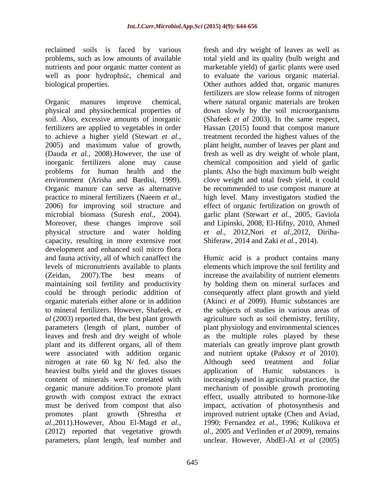reclaimed soils is faced by various fresh and dry weight of leaves as well as problems, such as low amounts of available total yield and its quality (bulb weight and nutrients and poor organic matter content as marketable yield) of garlic plants were used well as poor hydrophsic, chemical and to evaluate the various organic material. biological properties. Other authors added that, organic manures

Organic manures improve chemical, where natural organic materials are broken physical and physiochemical properties of down slowly by the soil microorganisms soil. Also, excessive amounts of inorganic (Shafeek *et al* 2003). In the same respect, fertilizers are applied to vegetables in order Hassan (2015) found that compost manure to achieve a higher yield (Stewart *et al.,* treatment recorded the highest values of the 2005) and maximum value of growth, plant height, number of leaves per plant and (Dauda *et al.*, 2008). However, the use of fresh as well as dry weight of whole plant, inorganic fertilizers alone may cause chemical composition and yield of garlic problems for human health and the plants. Also the high maximum bulb weight environment (Arisha and Bardisi, 1999). clove weight and total fresh yield, it could Organic manure can serve as alternative be recommended to use compost manure at practice to mineral fertilizers (Naeem *et al.,* high level. Many investigators studied the 2006) for improving soil structure and effect of organic fertilization on growth of microbial biomass (Suresh *etal*., 2004). garlic plant (Stewart *et al.,* 2005, Gaviola Moreover, these changes improve soil and Lipinski, 2008, El-Hifny, 2010, Ahmed physical structure and water holding *et al.,* 2012,Nori *et al.,*2012, Diriba capacity, resulting in more extensive root development and enhanced soil micro flora and fauna activity, all of which canaffect the Humic acid is a product contains many levels of micronutrients available to plants (Zeidan, 2007).The best means of increase the availability of nutrient elements maintaining soil fertility and productivity by holding them on mineral surfaces and could be through periodic addition of organic materials either alone or in addition (Akinci *et al* 2009). Humic substances are to mineral fertilizers. However, Shafeek, *et*  the subjects of studies in various areas of *al* (2003) reported that, the best plant growth agriculture such as soil chemistry, fertility, parameters (length of plant, number of plant physiology and environmental sciences leaves and fresh and dry weight of whole as the multiple roles played by these plant and its different organs, all of them materials can greatly improve plant growth were associated with addition organic and nutrient uptake (Paksoy *et al* 2010). nitrogen at rate 60 kg N/ fed. also the Although seed treatment and foliar heaviest bulbs yield and the gloves tissues application of Humic substances is content of minerals were correlated with increasingly used in agricultural practice, the organic manure addition To promote plant mechanism of possible growth promoting growth with compost extract the extract must be derived from compost that also promotes plant growth (Shrestha *et*  improved nutrient uptake (Chen and Aviad, *al.,*2011).However, Abou El-Magd *et al.,* 1990; Fernandez *et al.,* 1996; Kulikova *et*  (2012) reported that vegetative growth parameters, plant length, leaf number and unclear. However, AbdEl-Al *et al* (2005)

fertilizers are slow release forms of nitrogen Shiferaw, 2014 and Zaki *et al.,* 2014).

elements which improve the soil fertility and consequently affect plant growth and yield Although seed treatment and foliar application of Humic effect, usually attributed to hormone-like impact, activation of photosynthesis and *al.,* 2005 and Verlinden *et al* 2009), remains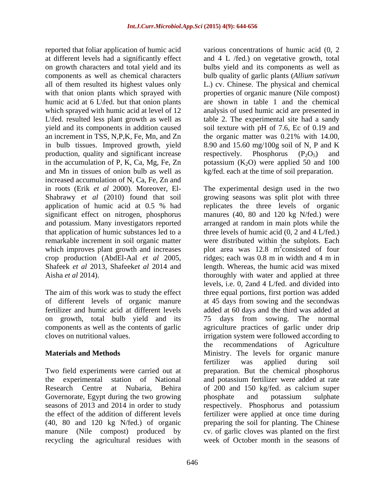reported that foliar application of humic acid at different levels had a significantly effect on growth characters and total yield and its bulbs yield and its components aswell as components as well as chemical characters bulb quality of garlic plants (*Allium sativum* all of them resulted its highest values only L.) cv. Chinese. The physical and chemical with that onion plants which sprayed with humic acid at  $6 \text{ L}$  (fed. but that onion plants) humic acid at 6 L\fed. but that onion plants are shown in table 1 and the chemical which sprayed with humic acid at level of 12 analysis of used humic acid are presented in L\fed. resulted less plant growth as well as table 2. The experimental site had a sandy yield and its components in addition caused soil texture with pH of 7.6, Ec of 0.19 and an increment in TSS, N,P,K, Fe, Mn, and Zn the organic matter was 0.21% with 14.00, in bulb tissues. Improved growth, yield 8.90 and 15.60 mg/100g soil of N, P and K production, quality and significant increase respectively. Phosphorus  $(P_2O_5)$  and in the accumulation of P, K, Ca, Mg, Fe, Zn  $\qquad \qquad$  potassium (K<sub>2</sub>O) were applied 50 and 100 and Mn in tissues of onion bulb as well as kg/fed. each at the time of soil preparation. increased accumulation of N, Ca, Fe, Zn and

on growth, total bulb yield and its 75 days from sowing. The normal

Governorate, Egypt during the two growing bhosphate and potassium sulphate manure (Nile compost) produced by recycling the agricultural residues with

various concentrations of humic acid (0, 2 and 4 L /fed.) on vegetative growth, total properties of organic manure (Nile compost) respectively. Phosphorus  $(P_2O_5)$  and

in roots (Erik *et al* 2000). Moreover, El- The experimental design used in the two Shabrawy *et al* (2010) found that soil growing seasons was split plot with three application of humic acid at 0.5 % had replicates the three levels of organic significant effect on nitrogen, phosphorus manures (40, 80 and 120 kg N/fed.) were and potassium. Many investigators reported arranged at random in main plots while the that application of humic substances led to a three levels of humic acid (0, 2 and 4 L/fed.) remarkable increment in soil organic matter were distributed within the subplots. Each which improves plant growth and increases blot area was 12.8 m<sup>2</sup>consisted of four crop production (AbdEl-Aal *et al* 2005, ridges; each was 0.8 m in width and 4 m in Shafeek *et al* 2013, Shafeek*et al* 2014 and length. Whereas, the humic acid was mixed Aisha *et al* 2014). **thoroughly** with water and applied at three The aim of this work was to study the effect three equal portions, first portion was added of different levels of organic manure at 45 days from sowing and the secondwas fertilizer and humic acid at different levels added at 60 days and the third was added at components as well as the contents of garlic agriculture practices of garlic under drip cloves on nutritional values. irrigation system were followed according to **Materials and Methods Ministry.** The levels for organic manure Two field experiments were carried out at preparation. But the chemical phosphorus the experimental station of National and potassium fertilizer were added at rate Research Centre at Nubaria, Behira of 200 and 150 kg/fed. as calcium super seasons of 2013 and 2014 in order to study respectively. Phosphorus and potassium the effect of the addition of different levels fertilizer were applied at once time during (40, 80 and 120 kg N/fed.) of organic preparing the soil for planting. The Chinese replicates the three levels of organic  $\frac{2}{2}$  consisted of four consisted of four levels, i.e. 0, 2and 4 L/fed. and divided into 75 days from sowing. The normal the recommendations of Agriculture fertilizer was applied during soil phosphate and potassium sulphate cv. of garlic cloves was planted on the first week of October month in the seasons of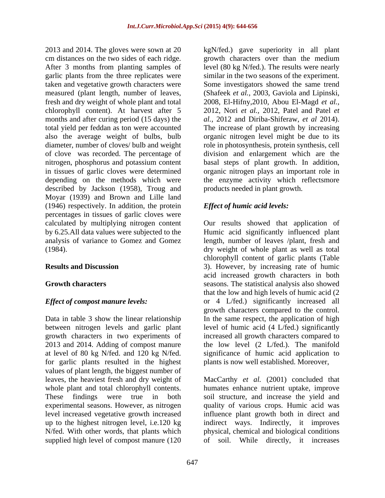2013 and 2014. The gloves were sown at 20  $\frac{1}{20}$  kgN/fed.) gave superiority in all plant cm distances on the two sides of each ridge. growth characters over than the medium After 3 months from planting samples of garlic plants from the three replicates were similar in the two seasons of the experiment. taken and vegetative growth characters were Some investigators showed the same trend measured (plant length, number of leaves, (Shafeek *et al.,* 2003, Gaviola and Lipinski, fresh and dry weight of whole plant and total chlorophyll content). At harvest after 5 2012, Nori *et al.,* 2012, Patel and Patel *et*  months and after curing period (15 days) the *al.,* 2012 and Diriba-Shiferaw, *et al* 2014). total yield per feddan as ton were accounted The increase of plant growth by increasing also the average weight of bulbs, bulb organic nitrogen level might be due to its diameter, number of cloves/ bulb and weight role in photosynthesis, protein synthesis, cell of clove was recorded. The percentage of nitrogen, phosphorus and potassium content basal steps of plant growth. In addition, in tissues of garlic cloves were determined organic nitrogen plays an important role in depending on the methods which were the enzyme activity which reflectsmore described by Jackson (1958), Troug and Moyar (1939) and Brown and Lille land (1946) respectively. In addition, the protein percentages in tissues of garlic cloves were calculated by multiplying nitrogen content Our results showed that application of by 6.25.All data values were subjected to the Humic acid significantly influenced plant analysis of variance to Gomez and Gomez length, number of leaves /plant, fresh and (1984). dry weight of whole plant as well as total

Data in table 3 show the linear relationship In the same respect, the application of high between nitrogen levels and garlic plant level of humic acid (4 L/fed.) significantly growth characters in two experiments of increased all growth characters compared to 2013 and 2014. Adding of compost manure the low level (2 L/fed.). The manifold at level of 80 kg N/fed. and 120 kg N/fed. significance of humic acid application to for garlic plants resulted in the highest values of plant length, the biggest number of supplied high level of compost manure (120 of soil. While directly, it increases

level (80 kg N/fed.). The results were nearly 2008, El-Hifny,2010, Abou El-Magd *et al.,* division and enlargement which are the products needed in plant growth.

## *Effect of humic acid levels:*

**Results and Discussion** 3). However, by increasing rate of humic **Growth characters** seasons. The statistical analysis also showed *Effect of compost manure levels:* or 4 L/fed.) significantly increased all chlorophyll content of garlic plants (Table acid increased growth characters in both that the low and high levels of humic acid (2 growth characters compared to the control. plants is now well established. Moreover,

leaves, the heaviest fresh and dry weight of MacCarthy *et al.* (2001) concluded that whole plant and total chlorophyll contents. humates enhance nutrient uptake, improve These findings were true in both soil structure, and increase the yield and experimental seasons. However, as nitrogen quality of various crops. Humic acid was level increased vegetative growth increased influence plant growth both in direct and up to the highest nitrogen level, i.e.120 kg indirect ways. Indirectly, it improves N/fed. With other words, that plants which physical, chemical and biological conditions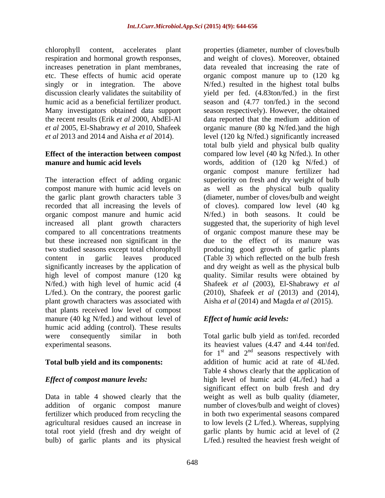chlorophyll content, accelerates plant properties (diameter, number of cloves/bulb respiration and hormonal growth responses,

# **Effect of the interaction between compost**

organic compost manure and humic acid but these increased non significant in the plant growth characters was associated with that plants received low level of compost manure (40 kg N/fed.) and without level of humic acid adding (control). These results were consequently similar in both Total garlic bulb yield as ton\fed. recorded

bulb) of garlic plants and its physical L/fed.) resulted the heaviest fresh weight of

increases penetration in plant membranes, data revealed that increasing the rate of etc. These effects of humic acid operate organic compost manure up to (120 kg) singly or in integration. The above N/fed.) resulted in the highest total bulbs discussion clearly validates the suitability of yield per fed. (4.83ton/fed.) in the first humic acid as a beneficial fertilizer product. Season and  $(4.77 \text{ ton/fed.})$  in the second Many investigators obtained data support season respectively). However, the obtained the recent results (Erik *et al* 2000, AbdEl-Al data reported that the medium addition of *et al* 2005, El-Shabrawy *et al* 2010, Shafeek organic manure (80 kg N/fed.)and the high *et al* 2013 and 2014 and Aisha *et al* 2014). level (120 kg N/fed.) significantly increased **manure and humic acid levels** words, addition of (120 kg N/fed.) of The interaction effect of adding organic superiority on fresh and dry weight of bulb compost manure with humic acid levels on as well as the physical bulb quality the garlic plant growth characters table 3 (diameter, number of cloves/bulb and weight recorded that all increasing the levels of of cloves). compared low level (40 kg increased all plant growth characters suggested that, the superiority of high level compared to all concentrations treatments of organic compost manure these may be two studied seasons except total chlorophyll producing good growth of garlic plants content in garlic leaves produced (Table 3) which reflected on the bulb fresh significantly increases by the application of and dry weight as well as the physical bulb high level of compost manure (120 kg quality. Similar results were obtained by N/fed.) with high level of humic acid (4 Shafeek *et al* (2003), El-Shabrawy *et al* L/fed.). On the contrary, the poorest garlic (2010), Shafeek *et al* (2013) and (2014), and weight of cloves). Moreover, obtained total bulb yield and physical bulb quality compared low level (40 kg N/fed.). In other organic compost manure fertilizer had N/fed.) in both seasons. It could be due to the effect of its manure was Aisha *et al* (2014) and Magda *et al* (2015).

# *Effect of humic acid levels:*

experimental seasons. its heaviest values (4.47 and 4.44 ton\fed. **Total bulb yield and its components:** addition of humic acid at rate of 4L\fed. *Effect of compost manure levels:* high level of humic acid (4L/fed.) had a Data in table 4 showed clearly that the weight as well as bulb quality (diameter, addition of organic compost manure number of cloves/bulb and weight of cloves) fertilizer which produced from recycling the in both two experimental seasons compared agricultural residues caused an increase in to low levels (2 L/fed.). Whereas, supplying total root yield (fresh and dry weight of garlic plants by humic acid at level of (2 for  $1<sup>st</sup>$  and  $2<sup>nd</sup>$  seasons respectively with seasons respectively with Table 4 shows clearly that the application of significant effect on bulb fresh and dry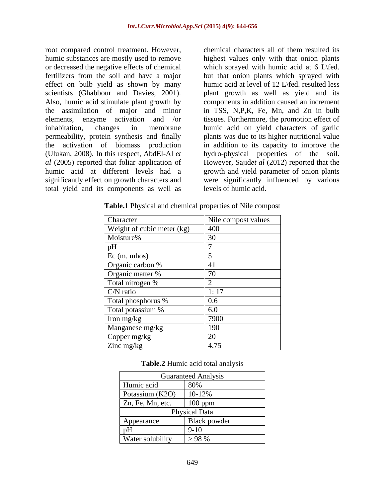root compared control treatment. However, chemical characters all of them resulted its humic substances are mostly used to remove highest values only with that onion plants or decreased the negative effects of chemical which sprayed with humic acid at 6 L\fed. fertilizers from the soil and have a major but that onion plants which sprayed with effect on bulb yield as shown by many scientists (Ghabbour and Davies, 2001). plant growth as well as yield and its Also, humic acid stimulate plant growth by components in addition caused an increment the assimilation of major and minor elements, enzyme activation and /or inhabitation, changes in membrane humic acid on yield characters of garlic permeability, protein synthesis and finally plants was due to its higher nutritional value the activation of biomass production in addition to its capacity to improve the (Ulukan, 2008). In this respect, AbdEl-Al *et*  hydro-physical properties of the soil. *al* (2005) reported that foliar application of However, Sajid*et al* (2012) reported that the humic acid at different levels had a growth and yield parameter of onion plants significantly effect on growth characters and were significantly influenced by various total yield and its components as well as

humic acid at level of 12 L\fed. resulted less in TSS, N,P,K, Fe, Mn, and Zn in bulb tissues. Furthermore, the promotion effect of levels of humic acid.

| Character                  | Nile compost values |
|----------------------------|---------------------|
| Weight of cubic meter (kg) | 400                 |
| Moisture%                  |                     |
| pH                         |                     |
| Ec (m. mhos)               |                     |
| Organic carbon %           |                     |
| Organic matter %           | 70                  |
| Total nitrogen %           |                     |
| $C/N$ ratio                |                     |
| Total phosphorus %         | 0.6                 |
| Total potassium %          | 6.0                 |
| Iron mg/kg                 | 7900                |
| Manganese mg/kg            | 190                 |
| Copper mg/kg               |                     |
| Zinc mg/kg                 | 4.75                |

**Table.1** Physical and chemical properties of Nile compost

| Table.2<br>$2$ Humic $\alpha$ .<br>: acid total<br>analysis |  |
|-------------------------------------------------------------|--|
|                                                             |  |

|                          | <b>Guaranteed Analysis</b> |
|--------------------------|----------------------------|
| Humic acid               | 80%                        |
| Potassium (K2O)          | 10-12%                     |
| $\vert$ Zn, Fe, Mn, etc. | $100$ ppm                  |
|                          | <b>Physical Data</b>       |
| Appearance               | Black powder               |
| pH                       | $9 - 10$                   |
| <b>Water solubility</b>  | > 98 %                     |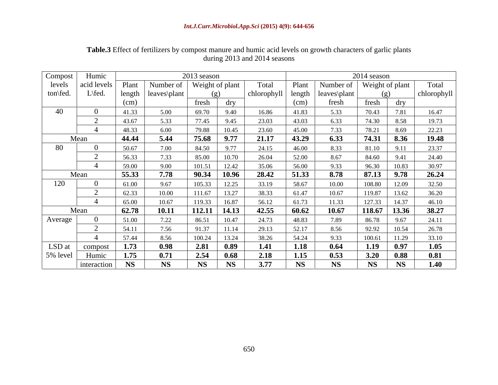| Compost  | Humic       |               |              | 2013 season |                 |             |           |                       | 2014 season     |           |             |
|----------|-------------|---------------|--------------|-------------|-----------------|-------------|-----------|-----------------------|-----------------|-----------|-------------|
| levels   | acid levels | Plant         | Number of    |             | Weight of plant | Total       | Plant     | Number of             | Weight of plant |           | Total       |
| ton\fed. | $L\$ fed.   | length        | leaves\plant |             |                 | chlorophyll |           | length   leaves\plant | (g)             |           | chlorophyll |
|          |             | $\text{cm}$ ) |              | fresh       | dry             |             | (cm)      | fresh                 | fresh           | dry       |             |
| 40       |             | 41.33         | 5.00         | 69.70       | 9.40            | 16.86       | 41.83     | 5.33                  | 70.43           | 7.81      | 16.47       |
|          | $\sim$      | 43.67         | 5.33         | 77.45       | 9.45            | 23.03       | 43.03     | 6.33                  | 74.30           | 8.58      | 19.73       |
|          |             | 48.33         | 6.00         | 79.88       | 10.45           | 23.60       | 45.00     | 7.33                  | 78.21           | 8.69      | 22.23       |
|          | Mean        | 44.44         | 5.44         | 75.68       | 9.77            | 21.17       | 43.29     | 6.33                  | 74.31           | 8.36      | 19.48       |
| 80       |             | 50.67         | 7.00         | 84.50       | 9.77            | 24.15       | 46.00     | 8.33                  | 81.10           | 9.11      | 23.37       |
|          |             | 56.33         | 7.33         | 85.00       | 10.70           | 26.04       | 52.00     | 8.67                  | 84.60           | 9.41      | 24.40       |
|          |             | 59.00         | 9.00         | 101.51      | 12.42           | 35.06       | 56.00     | 9.33                  | 96.30           | 10.83     | 30.97       |
|          | Mean        | 55.33         | 7.78         | 90.34       | 10.96           | 28.42       | 51.33     | 8.78                  | 87.13           | 9.78      | 26.24       |
| 120      |             | 61.00         | 9.67         | 105.33      | 12.25           | 33.19       | 58.67     | 10.00                 | 108.80          | 12.09     | 32.50       |
|          |             | 62.33         | 10.00        | 111.67      | 13.27           | 38.33       | 61.47     | 10.67                 | 119.87          | 13.62     | 36.20       |
|          |             | 65.00         | 10.67        | 119.33      | 16.87           | 56.12       | 61.73     | 11.33                 | 127.33          | 14.37     | 46.10       |
|          | Mean        | 62.78         | 10.11        | 112.11      | 14.13           | 42.55       | 60.62     | 10.67                 | 118.67          | 13.36     | 38.27       |
| Average  |             | 51.00         | 7.22         | 86.51       | 10.47           | 24.73       | 48.83     | 7.89                  | 86.78           | 9.67      | 24.11       |
|          |             | 54.11         | 7.56         | 91.37       | 11.14           | 29.13       | 52.17     | 8.56                  | 92.92           | 10.54     | 26.78       |
|          |             | 57.44         | 8.56         | 100.24      | 13.24           | 38.26       | 54.24     | 9.33                  | 100.61          | 11.29     | 33.10       |
| LSD at   | compost     | 1.73          | 0.98         | 2.81        | 0.89            | 1.41        | 1.18      | 0.64                  | 1.19            | 0.97      | 1.05        |
| 5% level | Humic       | 1.75          | 0.71         | 2.54        | 0.68            | 2.18        | 1.15      | 0.53                  | 3.20            | 0.88      | 0.81        |
|          | interaction | <b>NS</b>     | <b>NS</b>    | <b>NS</b>   | <b>NS</b>       | 3.77        | <b>NS</b> | <b>NS</b>             | <b>NS</b>       | <b>NS</b> | 1.40        |

**Table.3** Effect of fertilizers by compost manure and humic acid levels on growth characters of garlic plants during 2013 and 2014 seasons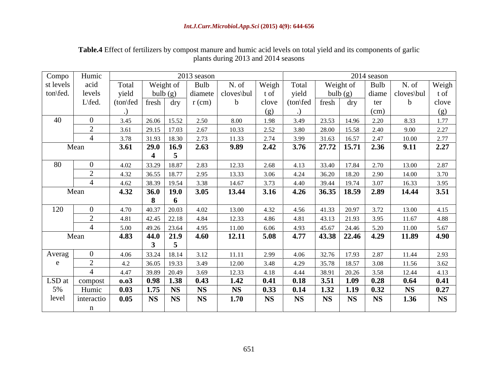| Compo     | Humic                       |                               |                  |                          | 2013 season |                                     |           |             |                           |           | 2014 season |            |           |
|-----------|-----------------------------|-------------------------------|------------------|--------------------------|-------------|-------------------------------------|-----------|-------------|---------------------------|-----------|-------------|------------|-----------|
| st levels | acid                        | Total                         | Weight of        |                          | Bulb        | N. of                               | Weigh     | Total       |                           | Weight of | Bulb        | N. of      | Weigh     |
| ton\fed.  | levels                      | yield                         | bulb(g)          |                          |             | $\vert$ diamete $\vert$ cloves \bul | t of      | yield       |                           | bulb(g)   | diame       | cloves\bul | t of      |
|           | $L\$ fed.                   | $(ton\$ fresh $\frac{dy}{dx}$ |                  |                          | $r$ (cm)    | h.                                  | clove     | $(ton\$ rel | fresh                     | dry       | ter         |            | clove     |
|           |                             |                               |                  |                          |             |                                     | (g)       |             |                           |           | (cm)        |            | (g)       |
| 40        | $\Omega$                    | 3.45                          | 26.06            | 15.52                    | 2.50        | 8.00                                | 1.98      | 3.49        | 23.53                     | 14.96     | 2.20        | 8.33       | 1.77      |
|           |                             | 3.61                          | 29.15            | 17.03                    | 2.67        | 10.33                               | 2.52      | 3.80        | 28.00                     | 15.58     | 2.40        | 9.00       | 2.27      |
|           |                             | 3.78                          | 31.93            | 18.30                    | 2.73        | 11.33                               | 2.74      | 3.99        | 31.63                     | 16.57     | 2.47        | 10.00      | 2.77      |
|           | Mean                        | 3.61                          | $29.0 \mid 16.9$ |                          | 2.63        | 9.89                                | 2.42      | 3.76        | 27.72   15.71   2.36      |           |             | 9.11       | 2.27      |
|           |                             |                               |                  |                          |             |                                     |           |             |                           |           |             |            |           |
|           |                             |                               |                  | $\overline{\phantom{a}}$ |             |                                     |           |             |                           |           |             |            |           |
| 80        | $\overline{0}$<br>$\bigcap$ | 4.02                          | 33.29            | 18.87                    | 2.83        | 12.33                               | 2.68      | 4.13        | 33.40                     | 17.84     | 2.70        | 13.00      | 2.87      |
|           | $\overline{ }$              | 4.32                          | 36.55            | 18.77                    | 2.95        | 13.33                               | 3.06      | 4.24        | 36.20                     | 18.20     | 2.90        | 14.00      | 3.70      |
|           |                             | 4.62                          | 38.39            | 19.54                    | 3.38        | 14.67                               | 3.73      | 4.40        | 39.44                     | 19.74     | 3.07        | 16.33      | 3.95      |
|           | Mean                        | 4.32                          |                  | $36.0$   19.0            | 3.05        | 13.44                               | 3.16      | 4.26        | $36.35$ 18.59             |           | 2.89        | 14.44      | 3.51      |
|           |                             |                               | 8                | 6                        |             |                                     |           |             |                           |           |             |            |           |
|           |                             | 4.70                          | 40.37            | 20.03                    | 4.02        | 13.00                               | 4.32      | 4.56        | 41.33                     | 20.97     | 3.72        | 13.00      | 4.15      |
|           |                             | 4.81                          | 42.45            | 22.18                    | 4.84        | 12.33                               | 4.86      | 4.81        | 43.13                     | 21.93     | 3.95        | 11.67      | 4.88      |
|           |                             | 5.00                          | 49.26            | 23.64                    | 4.95        | 11.00                               | 6.06      | 4.93        | 45.67                     | 24.46     | 5.20        | 11.00      | 5.67      |
|           | Mean                        | 4.83                          | 44.0             | 21.9                     | 4.60        | 12.11                               | 5.08      | 4.77        | $\sqrt{43.38}$ 22.46 4.29 |           |             | 11.89      | 4.90      |
|           |                             |                               |                  | $\overline{5}$           |             |                                     |           |             |                           |           |             |            |           |
| Averag    |                             | 4.06                          | 33.24            | 18.14                    | 3.12        | 11.11                               | 2.99      | 4.06        | 32.76                     | 17.93     | 2.87        | 11.44      | 2.93      |
|           |                             | 4.2                           | 36.05            | 19.33                    | 3.49        | 12.00                               | 3.48      | 4.29        | 35.78                     | 18.57     | 3.08        | 11.56      | 3.62      |
|           |                             | 4.47                          | 39.89            | 20.49                    | 3.69        | 12.33                               | 4.18      | 4.44        | 38.91                     | 20.26     | 3.58        | 12.44      | 4.13      |
| LSD at    | compost                     | 0.03                          |                  | $0.98$   1.38            | 0.43        | 1.42                                | 0.41      | 0.18        | 3.51                      | 1.09      | 0.28        | 0.64       | 0.41      |
| 5%        | Humic                       | 0.03                          | 1.75             | <b>NS</b>                | <b>NS</b>   | <b>NS</b>                           | 0.33      | 0.14        | 1.32                      | 1.19      | 0.32        | <b>NS</b>  | 0.27      |
| level     |                             | 0.05                          | <b>NS</b>        | <b>NS</b>                | <b>NS</b>   | 1.70                                | <b>NS</b> | <b>NS</b>   | <b>NS</b>                 | <b>NS</b> | <b>NS</b>   | 1.36       | <b>NS</b> |
|           | interactio                  |                               |                  |                          |             |                                     |           |             |                           |           |             |            |           |
|           |                             |                               |                  |                          |             |                                     |           |             |                           |           |             |            |           |

**Table.4** Effect of fertilizers by compost manure and humic acid levels on total yield and its components of garlic plants during 2013 and 2014 seasons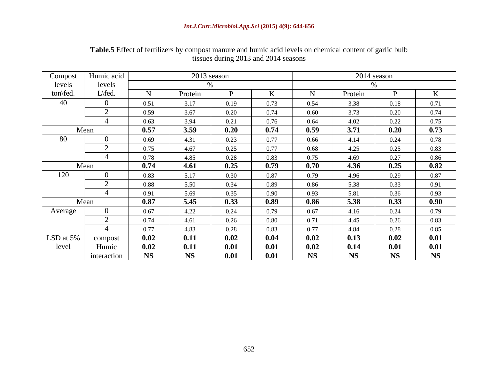| Compost   | Humic acid     |           | 2013 season    |      |      |           |           | 2014 season |           |
|-----------|----------------|-----------|----------------|------|------|-----------|-----------|-------------|-----------|
| levels    | levels         |           |                |      |      |           |           |             |           |
| ton\fed.  | $L\$ rel{fed.} | - 1.N     | Protein        |      |      | - IN      | Protein   |             |           |
| 40        | $\bigcap$      | 0.51      | 3 1 7          | 0.19 | 0.73 | 0.54      | 3 3 8     | 0.18        | 0.71      |
|           | $\sim$         | 0.59      | 3.67           | 0.20 | 0.74 | 0.60      | 3.73      | 0.20        | 0.74      |
|           |                | 0.63      | 3.94           | 0.21 | 0.76 | 0.64      | 4.02      | 0.22        | 0.75      |
|           | Mean           | 0.57      | 3.59           | 0.20 | 0.74 | 0.59      | 3.71      | 0.20        | 0.73      |
| 80        | $\Omega$       | 0.69      | 4.31           | 0.23 | 0.77 | 0.66      | 4.14      | 0.24        | 0.78      |
|           |                | 0.75      | 4.67           | 0.25 | 0.77 | 0.68      | 4.25      | 0.25        | 0.83      |
|           |                | 0.78      | 4.85           | 0.28 | 0.83 | 0.75      | 4.69      | 0.27        | 0.86      |
|           | Mean           | 0.74      | 4.61           | 0.25 | 0.79 | 0.70      | 4.36      | 0.25        | 0.82      |
| 120       |                | 0.83      | 5 1 7          | 0.30 | 0.87 | 0.79      | 4.96      | 0.29        | 0.87      |
|           |                | 0.88      | 5.50           | 0.34 | 0.89 | 0.86      | 5.38      | 0.33        | 0.91      |
|           |                | 0.91      | 5.69           | 0.35 | 0.90 | 0.93      | 5.81      | 0.36        | 0.93      |
|           | Mean           | 0.87      | 5.45           | 0.33 | 0.89 | 0.86      | 5.38      | 0.33        | 0.90      |
| Average   | $\overline{0}$ | 0.67      | 4.22           | 0.24 | 0.79 | 0.67      | 4.16      | 0.24        | 0.79      |
|           |                | 0.74      | 4.61           | 0.26 | 0.80 | 0.71      | 4.45      | 0.26        | 0.83      |
|           |                | 0.77      | 4.83           | 0.28 | 0.83 | 0.77      | 4.84      | 0.28        | 0.85      |
| LSD at 5% | compost        | 0.02      | $\mathbf{0.1}$ | 0.02 | 0.04 | 0.02      | 0.13      | 0.02        | 0.01      |
| level     | Humic          | 0.02      | $\mathbf{0}$ . | 0.01 | 0.01 | 0.02      | 0.14      | 0.01        | 0.01      |
|           | interaction    | <b>NS</b> | <b>NS</b>      | 0.01 | 0.01 | <b>NS</b> | <b>NS</b> | <b>NS</b>   | <b>NS</b> |

**Table.5** Effect of fertilizers by compost manure and humic acid levels on chemical content of garlic bulb tissues during 2013 and 2014 seasons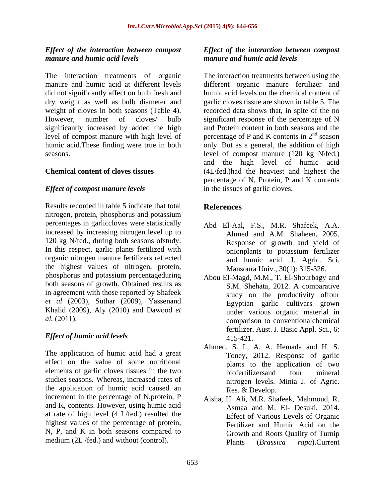## *Effect of the interaction between compost manure and humic acid levels manure and humic acid levels*

did not significantly affect on bulb fresh and dry weight as well as bulb diameter and

## *Effect of compost manure levels*

Results recorded in table 5 indicate that total nitrogen, protein, phosphorus and potassium percentages in garliccloves were statistically increased by increasing nitrogen level up to 120 kg N/fed., during both seasons ofstudy. In this respect, garlic plants fertilized with<br>onionplants to potassium fertilizer organic nitrogen manure fertilizers reflected the highest values of nitrogen, protein, phosphorus and potassium percentageduring both seasons of growth. Obtained results as in agreement with those reported by Shafeek *et al* (2003), Suthar (2009), Yassenand Khalid (2009), Aly (2010) and Dawood *et* 

## *Effect of humic acid levels*

The application of humic acid had a great effect on the value of some nutritional elements of garlic cloves tissues in the two<br>biofertilizers and four mineral studies seasons. Whereas, increased rates of the application of humic acid caused an increment in the percentage of N,protein, P and K, contents. However, using humic acid at rate of high level (4 L/fed.) resulted the highest values of the percentage of protein, N, P, and K in both seasons compared to

# *Effect of the interaction between compost*

The interaction treatments of organic The interaction treatments between using the manure and humic acid at different levels different organic manure fertilizer and weight of cloves in both seasons (Table 4). The recorded data shows that, in spite of the no<br>However, number of cloves/ bulb significant response of the percentage of N significantly increased by added the high and Protein content in both seasons and the level of compost manure with high level of  $\qquad$  percentage of P and K contents in  $2^{nd}$  season humic acid.These finding were true in both only. But as a general, the addition of high seasons. level of compost manure (120 kg N\fed.) **Chemical content of cloves tissues** (4L\fed.)had the heaviest and highest the humic acid levels on the chemical content of garlic cloves tissue are shown in table 5. The recorded data shows that, in spite of the no significant response of the percentage of N  $n \log n$ season and the high level of humic acid percentage of N, Protein, P and K contents in the tissues of garlic cloves.

## **References**

- Abd El-Aal, F.S., M.R. Shafeek, A.A. Ahmed and A.M. Shaheen, 2005. Response of growth and yield of onionplants to potassium fertilizer and humic acid. J. Agric. Sci. Mansoura Univ., 30(1): 315-326.
- *al.* (2011). comparison to conventionalchemical Abou El-Magd, M.M., T. El-Shourbagy and S.M. Shehata, 2012. A comparative study on the productivity offour Egyptian garlic cultivars grown under various organic material in fertilizer. Aust. J. Basic Appl. Sci., 6: 415-421.
	- Ahmed, S. I., A. A. Hemada and H. S. Toney, 2012. Response of garlic plants to the application of two biofertilizersand four mineral nitrogen levels. Minia J. of Agric. Res. & Develop.
- medium (2L /fed.) and without (control). Plants (*Brassica rapa*). Current Aisha, H. Ali, M.R. Shafeek, Mahmoud, R. Asmaa and M. El- Desuki, 2014. Effect of Various Levels of Organic Fertilizer and Humic Acid on the Growth and Roots Quality of Turnip Plants (*Brassica rapa*).Current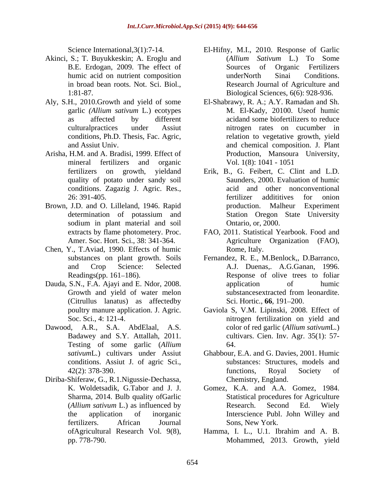- Akinci, S.; T. Buyukkeskin; A. Eroglu and
- Aly, S.H., 2010.Growth and yield of some El-Shabrawy, R. A.; A.Y. Ramadan and Sh.
- Arisha, H.M. and A. Bradisi, 1999. Effect of conditions. Zagazig J. Agric. Res.,
- Brown, J.D. and O. Lilleland, 1946. Rapid
- Chen, Y., T.Aviad, 1990. Effects of humic
- (Citrullus lanatus) as affectedby
- Dawood, A.R., S.A. AbdElaal, A.S. Testing of some garlic (*Allium*  conditions. Assiut J. of agric Sci.,
- Diriba-Shiferaw, G., R.1.Nigussie-Dechassa,
- Science International, 3(1):7-14. El-Hifny, M.I., 2010. Response of Garlic B.E. Erdogan, 2009. The effect of humic acid on nutrient composition and the under North Sinai Conditions. in broad bean roots. Not. Sci. Biol., Research Journal of Agriculture and 1:81-87. Biological Sciences, 6(6): 928-936. (*Allium Sativum* L.) To Some Sources of Organic Fertilizers underNorth Sinai Conditions.
- garlic *(Allium sativum* L*.*) ecotypes M. El-Kady, 20100. Useof humic as affected by different acidand some biofertilizers to reduce culturalpractices under Assiut nitrogen rates on cucumber in conditions, Ph.D. Thesis, Fac. Agric, relation to vegetative growth, yield and Assiut Univ. and chemical composition. J. Plant mineral fertilizers and organic Vol. 1(8): 1041 - 1051 Production, Mansoura University, Vol. 1(8): 1041 - 1051
- fertilizers on growth, yieldand Erik, B., G. Feibert, C. Clint and L.D. quality of potato under sandy soil Saunders, 2000. Evaluation of humic 26: 391-405. determination of potassium and Station Oregon State University sodium in plant material and soil **C** Ontario, or, 2000. acid and other nonconventional fertilizer addititives for onion Malheur Experiment Station Oregon State University Ontario, or, 2000.
- extracts by flame photometery. Proc. FAO, 2011. Statistical Yearbook. Food and Amer. Soc. Hort. Sci., 38: 341-364. Agriculture Organization (FAO), Rome, Italy.
- substances on plant growth. Soils Fernandez, R. E., M.Benlock,, D.Barranco, and Crop Science: Selected A.J. Duenas,. A.G.Ganan, 1996. Readings(pp. 161–186). Response of olive trees to foliar Dauda, S.N., F.A. Ajayi and E. Ndor, 2008. Growth and yield of water melon substances extracted from leonardite. application of humic substancesextracted from leonardite. Sci. Hortic., **66**, 191–200.
	- poultry manure application. J. Agric. Gaviola S, V.M. Lipinski, 2008. Effect of Soc. Sci., 4: 121-4. nitrogen fertilization on yield and Badawey and S.Y. Attallah, 2011. cultivars. Cien. Inv. Agr. 35(1): 57color of red garlic (*Allium sativum*L*.*) 64.
	- *sativum*L*.*) cultivars under Assiut Ghabbour, E.A. and G. Davies, 2001. Humic 42(2): 378-390. **EXECUTE:** functions, Royal Society of substances: Structures, models and functions, Royal Society of Chemistry, England.
	- K. Woldetsadik, G.Tabor and J. J. Gomez, K.A. and A.A. Gomez, 1984. Sharma, 2014. Bulb quality ofGarlic Statistical procedures for Agriculture (*Allium sativum* L.) as influenced by the application of inorganic Interscience Publ. John Willey and fertilizers. African Journal Research. Second Ed. Wiely Sons, New York.
	- ofAgricultural Research Vol. 9(8), Hamma, I. L., U.1. Ibrahim and A. B. pp. 778-790. Mohammed, 2013. Growth, yield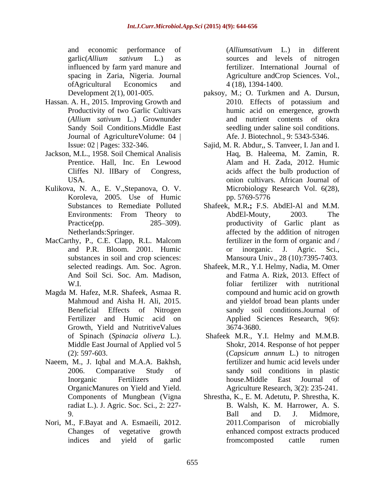and economic performance of (*Alliumsativum* L.) in different garlic(*Allium sativum* L.) as influenced by farm yard manure and spacing in Zaria, Nigeria. Journal Agriculture andCrop Sciences. Vol., ofAgricultural Economics and

- 
- Jackson, M.L., 1958. Soil Chemical Analisis Cliffes NJ. lIBary of Congress,
- Kulikova, N. A., E. V.,Stepanova, O. V. Koroleva, 2005. Use of Humic
- MacCarthy, P., C.E. Clapp, R.L. Malcom fertilizer in the form of organic and / substances in soil and crop sciences: Mansoura Univ., 28 (10):7395-7403.
- Magda M. Hafez, M.R. Shafeek, Asmaa R. Growth, Yield and NutritiveValues 3674-3680.
- Naeem, M., J. Iqbal and M.A.A. Bakhsh, OrganicManures on Yield and Yield. radiat L.). J. Agric. Soc. Sci., 2: 227-
- Nori, M., F.Bayat and A. Esmaeili, 2012. 2011. Comparison of microbially

(*Alliumsativum* L*.*) in different sources and levels of nitrogen fertilizer. International Journal of 4 (18), 1394-1400.

- Development 2(1), 001-005. paksoy, M.; O. Turkmen and A. Dursun, Hassan. A. H., 2015. Improving Growth and Productivity of two Garlic Cultivars humic acid on emergence, growth (*Allium sativum* L.) Grownunder Sandy Soil Conditions. Middle East seedling under saline soil conditions. Journal of Agriculture Volume: 04 | Afe. J. Biotechnol., 9: 5343-5346. 2010. Effects of potassium and and nutrient contents of okra seedling under saline soil conditions.<br>Afe. J. Biotechnol., 9: 5343-5346.
	- Issue: 02 | Pages: 332-346. Sajid, M. R. Abdur,, S. Tanveer, I. Jan and I. Prentice. Hall, Inc. En Lewood Alam and H. Zada, 2012. Humic USA. onion cultivars. African Journal of Haq, B. Haleema, M. Zamin, R. Alam and H. Zada, 2012. Humic acids affect the bulb production of Microbiology Research Vol. 6(28), pp. 5769-5776
	- Substances to Remediate Polluted Shafeek, M.R**.;** F.S. AbdEl-Al and M.M. Environments: From Theory to Practice(pp. 285–309). The productivity of Garlic plant as Netherlands:Springer. affected by the addition of nitrogen and P.R. Bloom. 2001. Humic or inorganic. J. Agric. Sci., AbdEl-Mouty, 2003. The fertilizer in the form of organic and / or inorganic. J. Agric. Sci.,
	- selected readings. Am. Soc. Agron. Shafeek, M.R., Y.I. Helmy, Nadia, M. Omer And Soil Sci. Soc. Am. Madison, and Fatma A. Rizk, 2013. Effect of W.I. foliar fertilizer with nutritional Mahmoud and Aisha H. Ali, 2015. **and yieldof broad bean plants under** Beneficial Effects of Nitrogen sandy soil conditions.Journal of Fertilizer and Humic acid on Applied Sciences Research, 9(6): compound and humic acid on growth 3674-3680.
	- of Spinach (*Spinacia olivera* L.). Shafeek M.R., Y.I. Helmy and M.M.B. Middle East Journal of Applied vol 5 Shokr, 2014. Response of hot pepper (2): 597-603. 2006. Comparative Study of sandy soil conditions in plastic Inorganic Fertilizers and house.Middle East Journal of (*Capsicum annum* L.) to nitrogen fertilizer and humic acid levels under house.Middle East Journal of Agriculture Research, 3(2): 235-241.
	- Components of Mungbean (Vigna Shrestha, K., E. M. Adetutu, P. Shrestha, K. 9. Ball and D. J. Midmore, Changes of vegetative growth enhanced compost extracts produced indices and yield of garlic B. Walsh, K. M. Harrower, A. S. Ball and D. J. Midmore, 2011.Comparison of microbially fromcomposted cattle rumen